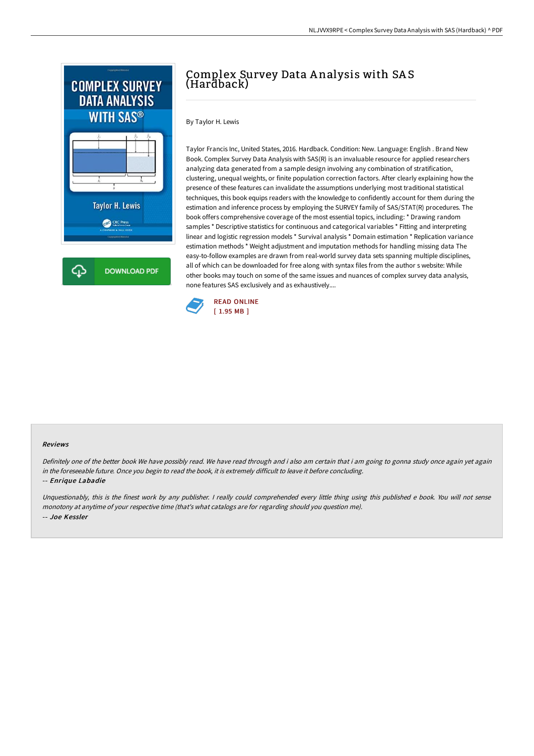

## Complex Survey Data A nalysis with SA S (Hardback)

By Taylor H. Lewis

Taylor Francis Inc, United States, 2016. Hardback. Condition: New. Language: English . Brand New Book. Complex Survey Data Analysis with SAS(R) is an invaluable resource for applied researchers analyzing data generated from a sample design involving any combination of stratification, clustering, unequal weights, or finite population correction factors. After clearly explaining how the presence of these features can invalidate the assumptions underlying most traditional statistical techniques, this book equips readers with the knowledge to confidently account for them during the estimation and inference process by employing the SURVEY family of SAS/STAT(R) procedures. The book offers comprehensive coverage of the most essential topics, including: \* Drawing random samples \* Descriptive statistics for continuous and categorical variables \* Fitting and interpreting linear and logistic regression models \* Survival analysis \* Domain estimation \* Replication variance estimation methods \* Weight adjustment and imputation methods for handling missing data The easy-to-follow examples are drawn from real-world survey data sets spanning multiple disciplines, all of which can be downloaded for free along with syntax files from the author s website: While other books may touch on some of the same issues and nuances of complex survey data analysis, none features SAS exclusively and as exhaustively....



## Reviews

Definitely one of the better book We have possibly read. We have read through and i also am certain that i am going to gonna study once again yet again in the foreseeable future. Once you begin to read the book, it is extremely difficult to leave it before concluding.

## -- Enrique Labadie

Unquestionably, this is the finest work by any publisher. <sup>I</sup> really could comprehended every little thing using this published <sup>e</sup> book. You will not sense monotony at anytime of your respective time (that's what catalogs are for regarding should you question me). -- Joe Kessler